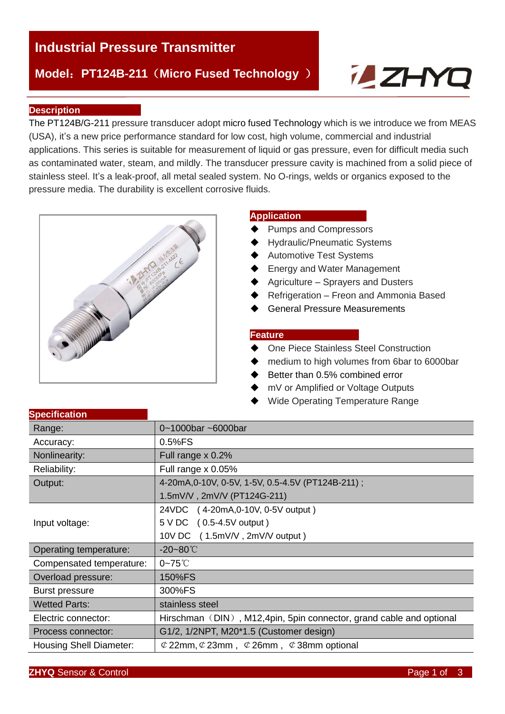# **Industrial Pressure Transmitter**

## **Model**:**PT124B-211**(**Micro Fused Technology** )

# **ZHYL**

#### **Description**

The PT124B/G-211 pressure transducer adopt micro fused Technology which is we introduce we from MEAS (USA), it's a new price performance standard for low cost, high volume, commercial and industrial applications. This series is suitable for measurement of liquid or gas pressure, even for difficult media such as contaminated water, steam, and mildly. The transducer pressure cavity is machined from a solid piece of stainless steel. It's a leak-proof, all metal sealed system. No O-rings, welds or organics exposed to the pressure media. The durability is excellent corrosive fluids.



#### **Application**

- Pumps and Compressors
- Hydraulic/Pneumatic Systems
- ◆ Automotive Test Systems
- Energy and Water Management
- Agriculture Sprayers and Dusters
- Refrigeration Freon and Ammonia Based
- General Pressure Measurements

#### **Feature**

- One Piece Stainless Steel Construction
- ◆ medium to high volumes from 6bar to 6000bar
- ♦ Better than 0.5% combined error
- mV or Amplified or Voltage Outputs
- ◆ Wide Operating Temperature Range

| Range:                         | 0~1000bar ~6000bar                                                  |  |  |  |  |  |
|--------------------------------|---------------------------------------------------------------------|--|--|--|--|--|
| Accuracy:                      | $0.5%$ FS                                                           |  |  |  |  |  |
| Nonlinearity:                  | Full range $\times$ 0.2%                                            |  |  |  |  |  |
| Reliability:                   | Full range x 0.05%                                                  |  |  |  |  |  |
| Output:                        | 4-20mA, 0-10V, 0-5V, 1-5V, 0.5-4.5V (PT124B-211);                   |  |  |  |  |  |
|                                | 1.5mV/V, 2mV/V (PT124G-211)                                         |  |  |  |  |  |
|                                | 24VDC (4-20mA, 0-10V, 0-5V output)                                  |  |  |  |  |  |
| Input voltage:                 | 5 V DC<br>$(0.5-4.5V$ output)                                       |  |  |  |  |  |
|                                | 10V DC (1.5mV/V, 2mV/V output)                                      |  |  |  |  |  |
| Operating temperature:         | $-20 - 80^{\circ}$                                                  |  |  |  |  |  |
| Compensated temperature:       | $0-75^\circ C$                                                      |  |  |  |  |  |
| Overload pressure:             | 150%FS                                                              |  |  |  |  |  |
| <b>Burst pressure</b>          | 300%FS                                                              |  |  |  |  |  |
| <b>Wetted Parts:</b>           | stainless steel                                                     |  |  |  |  |  |
| Electric connector:            | Hirschman (DIN), M12,4pin, 5pin connector, grand cable and optional |  |  |  |  |  |
| Process connector:             | G1/2, 1/2NPT, M20*1.5 (Customer design)                             |  |  |  |  |  |
| <b>Housing Shell Diameter:</b> | $\&$ 22mm, $\&$ 23mm, $\&$ 26mm, $\&$ 38mm optional                 |  |  |  |  |  |

## **Specification**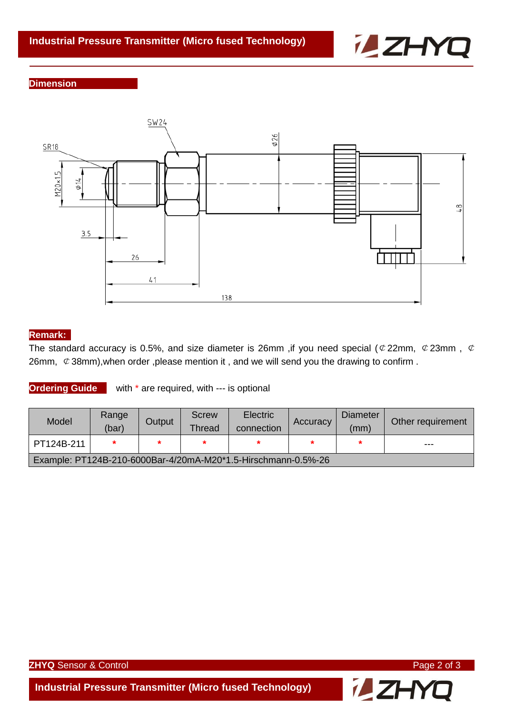

#### **Dimension**



#### **Remark:**

The standard accuracy is 0.5%, and size diameter is 26mm , if you need special ( $\mathcal{O}$  22mm,  $\mathcal{O}$  23mm,  $\mathcal{O}$ 26mm,  $\mathcal C$  38mm), when order , please mention it, and we will send you the drawing to confirm.

**Ordering Guide** with \* are required, with --- is optional

| Model                                                         | Range<br>(bar) | Output | Screw<br>Thread | <b>Electric</b><br>connection | Accuracy | <b>Diameter</b><br>(mm) | Other requirement |  |
|---------------------------------------------------------------|----------------|--------|-----------------|-------------------------------|----------|-------------------------|-------------------|--|
| PT124B-211                                                    |                |        |                 |                               |          |                         | ---               |  |
| Example: PT124B-210-6000Bar-4/20mA-M20*1.5-Hirschmann-0.5%-26 |                |        |                 |                               |          |                         |                   |  |

**ZHYQ** Sensor & Control **Page 2 of 3** 

**iLZHYQ** 

**Industrial Pressure Transmitter (Micro fused Technology)**